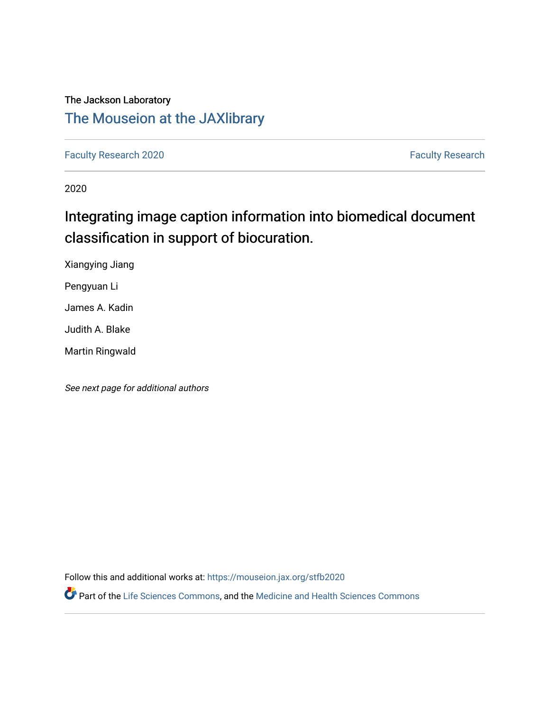## The Jackson Laboratory [The Mouseion at the JAXlibrary](https://mouseion.jax.org/)

[Faculty Research 2020](https://mouseion.jax.org/stfb2020) **Faculty Research** 2020

2020

## Integrating image caption information into biomedical document classification in support of biocuration.

Xiangying Jiang

Pengyuan Li

James A. Kadin

Judith A. Blake

Martin Ringwald

See next page for additional authors

Follow this and additional works at: [https://mouseion.jax.org/stfb2020](https://mouseion.jax.org/stfb2020?utm_source=mouseion.jax.org%2Fstfb2020%2F69&utm_medium=PDF&utm_campaign=PDFCoverPages)

Part of the [Life Sciences Commons,](http://network.bepress.com/hgg/discipline/1016?utm_source=mouseion.jax.org%2Fstfb2020%2F69&utm_medium=PDF&utm_campaign=PDFCoverPages) and the [Medicine and Health Sciences Commons](http://network.bepress.com/hgg/discipline/648?utm_source=mouseion.jax.org%2Fstfb2020%2F69&utm_medium=PDF&utm_campaign=PDFCoverPages)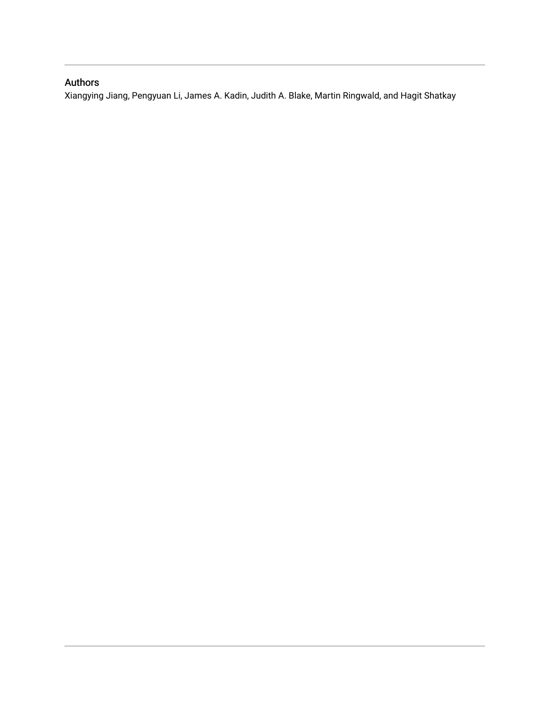### Authors

Xiangying Jiang, Pengyuan Li, James A. Kadin, Judith A. Blake, Martin Ringwald, and Hagit Shatkay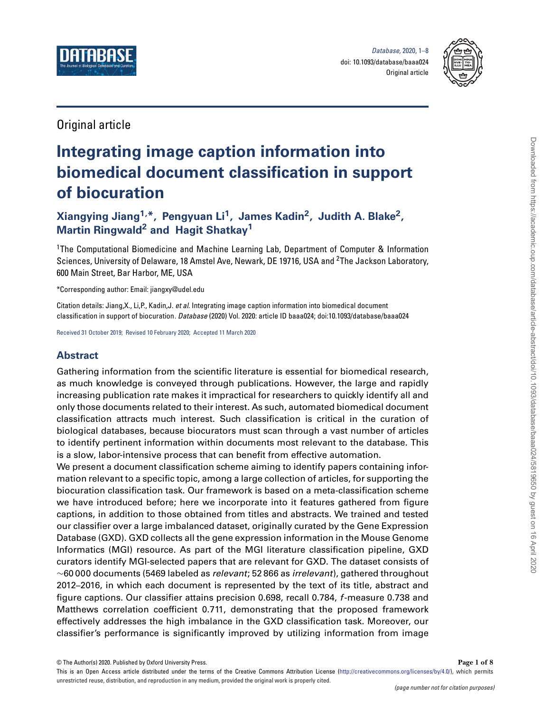

Database, 2020, 1–8 doi: 10.1093/database/baaa024 Original article



Original article

# **Integrating image caption information into biomedical document classification in support of biocuration**

**Xiangying Jiang1,\*, Pengyuan Li1, James Kadin2, Judith A. Blake2, Martin Ringwald2 and Hagit Shatkay<sup>1</sup>**

1The Computational Biomedicine and Machine Learning Lab, Department of Computer & Information Sciences, University of Delaware, 18 Amstel Ave, Newark, DE 19716, USA and <sup>2</sup>The Jackson Laboratory, 600 Main Street, Bar Harbor, ME, USA

\*Corresponding author: Email: jiangxy@udel.edu

Citation details: Jiang,X., Li,P., Kadin,J. et al. Integrating image caption information into biomedical document classification in support of biocuration. Database (2020) Vol. 2020: article ID baaa024; doi:10.1093/database/baaa024

Received 31 October 2019; Revised 10 February 2020; Accepted 11 March 2020

### **Abstract**

Gathering information from the scientific literature is essential for biomedical research, as much knowledge is conveyed through publications. However, the large and rapidly increasing publication rate makes it impractical for researchers to quickly identify all and only those documents related to their interest. As such, automated biomedical document classification attracts much interest. Such classification is critical in the curation of biological databases, because biocurators must scan through a vast number of articles to identify pertinent information within documents most relevant to the database. This is a slow, labor-intensive process that can benefit from effective automation.

We present a document classification scheme aiming to identify papers containing information relevant to a specific topic, among a large collection of articles, for supporting the biocuration classification task. Our framework is based on a meta-classification scheme we have introduced before; here we incorporate into it features gathered from figure captions, in addition to those obtained from titles and abstracts. We trained and tested our classifier over a large imbalanced dataset, originally curated by the Gene Expression Database (GXD). GXD collects all the gene expression information in the Mouse Genome Informatics (MGI) resource. As part of the MGI literature classification pipeline, GXD curators identify MGI-selected papers that are relevant for GXD. The dataset consists of ∼60 000 documents (5469 labeled as relevant; 52 866 as irrelevant), gathered throughout 2012–2016, in which each document is represented by the text of its title, abstract and figure captions. Our classifier attains precision 0.698, recall 0.784, f-measure 0.738 and Matthews correlation coefficient 0.711, demonstrating that the proposed framework effectively addresses the high imbalance in the GXD classification task. Moreover, our classifier's performance is significantly improved by utilizing information from image

unrestricted reuse, distribution, and reproduction in any medium, provided the original work is properly cited.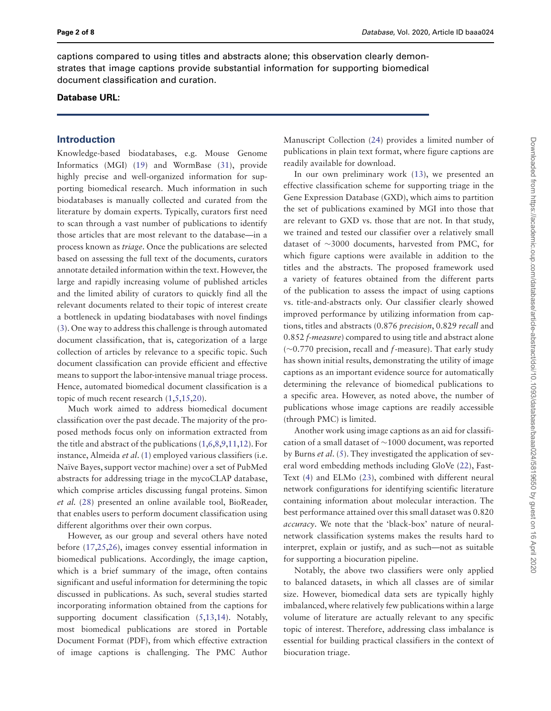captions compared to using titles and abstracts alone; this observation clearly demonstrates that image captions provide substantial information for supporting biomedical document classification and curation.

#### **Database URL:**

#### **Introduction**

Knowledge-based biodatabases, e.g. Mouse Genome Informatics (MGI) [\(19\)](#page-9-0) and WormBase [\(31\)](#page-9-1), provide highly precise and well-organized information for supporting biomedical research. Much information in such biodatabases is manually collected and curated from the literature by domain experts. Typically, curators first need to scan through a vast number of publications to identify those articles that are most relevant to the database—in a process known as triage. Once the publications are selected based on assessing the full text of the documents, curators annotate detailed information within the text. However, the large and rapidly increasing volume of published articles and the limited ability of curators to quickly find all the relevant documents related to their topic of interest create a bottleneck in updating biodatabases with novel findings [\(3\)](#page-8-0). One way to address this challenge is through automated document classification, that is, categorization of a large collection of articles by relevance to a specific topic. Such document classification can provide efficient and effective means to support the labor-intensive manual triage process. Hence, automated biomedical document classification is a topic of much recent research [\(1](#page-8-1)[,5,](#page-9-2)[15](#page-9-3)[,20\)](#page-9-4).

Much work aimed to address biomedical document classification over the past decade. The majority of the proposed methods focus only on information extracted from the title and abstract of the publications [\(1](#page-8-1)[,6](#page-9-5)[,8](#page-9-6)[,9](#page-9-7)[,11](#page-9-8)[,12\)](#page-9-9). For instance, Almeida et al. [\(1\)](#page-8-1) employed various classifiers (i.e. Naïve Bayes, support vector machine) over a set of PubMed abstracts for addressing triage in the mycoCLAP database, which comprise articles discussing fungal proteins. Simon et al. [\(28\)](#page-9-10) presented an online available tool, BioReader, that enables users to perform document classification using different algorithms over their own corpus.

However, as our group and several others have noted before [\(17](#page-9-11)[,25](#page-9-12)[,26\)](#page-9-13), images convey essential information in biomedical publications. Accordingly, the image caption, which is a brief summary of the image, often contains significant and useful information for determining the topic discussed in publications. As such, several studies started incorporating information obtained from the captions for supporting document classification [\(5](#page-9-2)[,13](#page-9-14)[,14\)](#page-9-15). Notably, most biomedical publications are stored in Portable Document Format (PDF), from which effective extraction of image captions is challenging. The PMC Author

Manuscript Collection [\(24\)](#page-9-16) provides a limited number of publications in plain text format, where figure captions are readily available for download.

In our own preliminary work [\(13\)](#page-9-14), we presented an effective classification scheme for supporting triage in the Gene Expression Database (GXD), which aims to partition the set of publications examined by MGI into those that are relevant to GXD vs. those that are not. In that study, we trained and tested our classifier over a relatively small dataset of ∼3000 documents, harvested from PMC, for which figure captions were available in addition to the titles and the abstracts. The proposed framework used a variety of features obtained from the different parts of the publication to assess the impact of using captions vs. title-and-abstracts only. Our classifier clearly showed improved performance by utilizing information from captions, titles and abstracts (0.876 precision, 0.829 recall and 0.852 f-measure) compared to using title and abstract alone (∼0.770 precision, recall and f-measure). That early study has shown initial results, demonstrating the utility of image captions as an important evidence source for automatically determining the relevance of biomedical publications to a specific area. However, as noted above, the number of publications whose image captions are readily accessible (through PMC) is limited.

Another work using image captions as an aid for classification of a small dataset of ∼1000 document, was reported by Burns  $et$  al. [\(5\)](#page-9-2). They investigated the application of several word embedding methods including GloVe [\(22\)](#page-9-17), Fast-Text [\(4\)](#page-8-2) and ELMo [\(23\)](#page-9-18), combined with different neural network configurations for identifying scientific literature containing information about molecular interaction. The best performance attained over this small dataset was 0.820 accuracy. We note that the 'black-box' nature of neuralnetwork classification systems makes the results hard to interpret, explain or justify, and as such—not as suitable for supporting a biocuration pipeline.

Notably, the above two classifiers were only applied to balanced datasets, in which all classes are of similar size. However, biomedical data sets are typically highly imbalanced, where relatively few publications within a large volume of literature are actually relevant to any specific topic of interest. Therefore, addressing class imbalance is essential for building practical classifiers in the context of biocuration triage.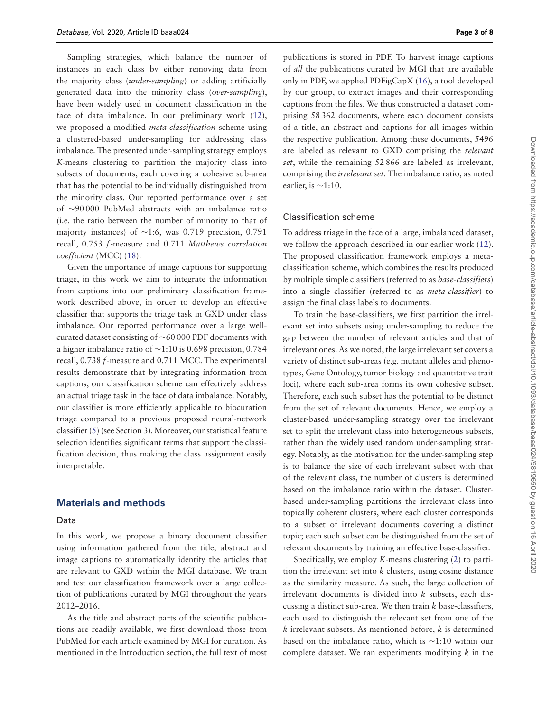Sampling strategies, which balance the number of instances in each class by either removing data from the majority class (*under-sampling*) or adding artificially generated data into the minority class (over-sampling), have been widely used in document classification in the face of data imbalance. In our preliminary work [\(12\)](#page-9-9), we proposed a modified *meta-classification* scheme using a clustered-based under-sampling for addressing class imbalance. The presented under-sampling strategy employs K-means clustering to partition the majority class into subsets of documents, each covering a cohesive sub-area that has the potential to be individually distinguished from the minority class. Our reported performance over a set of ∼90 000 PubMed abstracts with an imbalance ratio (i.e. the ratio between the number of minority to that of majority instances) of ∼1:6, was 0.719 precision, 0.791 recall, 0.753 f-measure and 0.711 Matthews correlation coefficient (MCC) [\(18\)](#page-9-19).

Given the importance of image captions for supporting triage, in this work we aim to integrate the information from captions into our preliminary classification framework described above, in order to develop an effective classifier that supports the triage task in GXD under class imbalance. Our reported performance over a large wellcurated dataset consisting of ∼60 000 PDF documents with a higher imbalance ratio of ∼1:10 is 0.698 precision, 0.784 recall, 0.738 f-measure and 0.711 MCC. The experimental results demonstrate that by integrating information from captions, our classification scheme can effectively address an actual triage task in the face of data imbalance. Notably, our classifier is more efficiently applicable to biocuration triage compared to a previous proposed neural-network classifier [\(5\)](#page-9-2) (see Section 3).Moreover, our statistical feature selection identifies significant terms that support the classification decision, thus making the class assignment easily interpretable.

#### **Materials and methods**

#### Data

In this work, we propose a binary document classifier using information gathered from the title, abstract and image captions to automatically identify the articles that are relevant to GXD within the MGI database. We train and test our classification framework over a large collection of publications curated by MGI throughout the years 2012–2016.

As the title and abstract parts of the scientific publications are readily available, we first download those from PubMed for each article examined by MGI for curation. As mentioned in the Introduction section, the full text of most publications is stored in PDF. To harvest image captions of all the publications curated by MGI that are available only in PDF, we applied PDFigCapX [\(16\)](#page-9-20), a tool developed by our group, to extract images and their corresponding captions from the files. We thus constructed a dataset comprising 58 362 documents, where each document consists of a title, an abstract and captions for all images within the respective publication. Among these documents, 5496 are labeled as relevant to GXD comprising the relevant set, while the remaining 52 866 are labeled as irrelevant, comprising the irrelevant set. The imbalance ratio, as noted earlier, is ∼1:10.

#### Classification scheme

To address triage in the face of a large, imbalanced dataset, we follow the approach described in our earlier work [\(12\)](#page-9-9). The proposed classification framework employs a metaclassification scheme, which combines the results produced by multiple simple classifiers (referred to as base-classifiers) into a single classifier (referred to as meta-classifier) to assign the final class labels to documents.

To train the base-classifiers, we first partition the irrelevant set into subsets using under-sampling to reduce the gap between the number of relevant articles and that of irrelevant ones. As we noted, the large irrelevant set covers a variety of distinct sub-areas (e.g. mutant alleles and phenotypes, Gene Ontology, tumor biology and quantitative trait loci), where each sub-area forms its own cohesive subset. Therefore, each such subset has the potential to be distinct from the set of relevant documents. Hence, we employ a cluster-based under-sampling strategy over the irrelevant set to split the irrelevant class into heterogeneous subsets, rather than the widely used random under-sampling strategy. Notably, as the motivation for the under-sampling step is to balance the size of each irrelevant subset with that of the relevant class, the number of clusters is determined based on the imbalance ratio within the dataset. Clusterbased under-sampling partitions the irrelevant class into topically coherent clusters, where each cluster corresponds to a subset of irrelevant documents covering a distinct topic; each such subset can be distinguished from the set of relevant documents by training an effective base-classifier.

Specifically, we employ K-means clustering [\(2\)](#page-8-3) to partition the irrelevant set into  $k$  clusters, using cosine distance as the similarity measure. As such, the large collection of irrelevant documents is divided into  $k$  subsets, each discussing a distinct sub-area. We then train k base-classifiers, each used to distinguish the relevant set from one of the  $k$  irrelevant subsets. As mentioned before,  $k$  is determined based on the imbalance ratio, which is ∼1:10 within our complete dataset. We ran experiments modifying  $k$  in the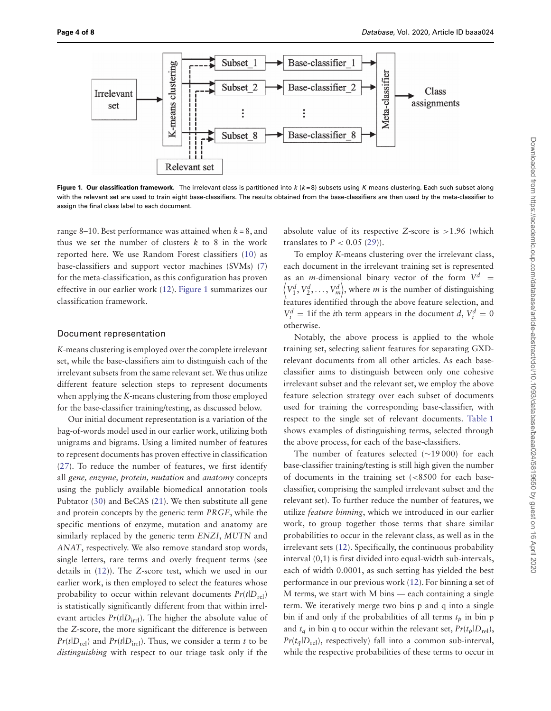

<span id="page-5-0"></span>**Figure 1. Our classification framework.** The irrelevant class is partitioned into k (k = 8) subsets using K means clustering. Each such subset along with the relevant set are used to train eight base-classifiers. The results obtained from the base-classifiers are then used by the meta-classifier to assign the final class label to each document.

range 8–10. Best performance was attained when  $k = 8$ , and thus we set the number of clusters  $k$  to 8 in the work reported here. We use Random Forest classifiers [\(10\)](#page-9-21) as base-classifiers and support vector machines (SVMs) [\(7\)](#page-9-22) for the meta-classification, as this configuration has proven effective in our earlier work [\(12\)](#page-9-9). [Figure 1](#page-5-0) summarizes our classification framework.

#### Document representation

K-means clustering is employed over the complete irrelevant set, while the base-classifiers aim to distinguish each of the irrelevant subsets from the same relevant set. We thus utilize different feature selection steps to represent documents when applying the K-means clustering from those employed for the base-classifier training/testing, as discussed below.

Our initial document representation is a variation of the bag-of-words model used in our earlier work, utilizing both unigrams and bigrams. Using a limited number of features to represent documents has proven effective in classification [\(27\)](#page-9-23). To reduce the number of features, we first identify all gene, enzyme, protein, mutation and anatomy concepts using the publicly available biomedical annotation tools Pubtator [\(30\)](#page-9-24) and BeCAS [\(21\)](#page-9-25). We then substitute all gene and protein concepts by the generic term PRGE, while the specific mentions of enzyme, mutation and anatomy are similarly replaced by the generic term ENZI, MUTN and ANAT, respectively. We also remove standard stop words, single letters, rare terms and overly frequent terms (see details in [\(12\)](#page-9-9)). The Z-score test, which we used in our earlier work, is then employed to select the features whose probability to occur within relevant documents  $Pr(t|D_{rel})$ is statistically significantly different from that within irrelevant articles  $Pr(t|D_{irr})$ . The higher the absolute value of the Z-score, the more significant the difference is between  $Pr(t|D_{rel})$  and  $Pr(t|D_{irr})$ . Thus, we consider a term t to be distinguishing with respect to our triage task only if the

absolute value of its respective Z-score is *>*1.96 (which translates to  $P < 0.05$  [\(29\)](#page-9-26)).

To employ K-means clustering over the irrelevant class, each document in the irrelevant training set is represented as an *m*-dimensional binary vector of the form  $V^d$  =  $\left\langle V_1^d, V_2^d, \ldots, V_m^d \right\rangle$ , where *m* is the number of distinguishing features identified through the above feature selection, and  $V_i^d = 1$  if the *i*th term appears in the document  $d$ ,  $V_i^d = 0$ otherwise.

Notably, the above process is applied to the whole training set, selecting salient features for separating GXDrelevant documents from all other articles. As each baseclassifier aims to distinguish between only one cohesive irrelevant subset and the relevant set, we employ the above feature selection strategy over each subset of documents used for training the corresponding base-classifier, with respect to the single set of relevant documents. [Table 1](#page-6-0) shows examples of distinguishing terms, selected through the above process, for each of the base-classifiers.

The number of features selected (∼19 000) for each base-classifier training/testing is still high given the number of documents in the training set (*<*8500 for each baseclassifier, comprising the sampled irrelevant subset and the relevant set). To further reduce the number of features, we utilize feature binning, which we introduced in our earlier work, to group together those terms that share similar probabilities to occur in the relevant class, as well as in the irrelevant sets [\(12\)](#page-9-9). Specifically, the continuous probability interval (0,1) is first divided into equal-width sub-intervals, each of width 0.0001, as such setting has yielded the best performance in our previous work [\(12\)](#page-9-9). For binning a set of M terms, we start with M bins — each containing a single term. We iteratively merge two bins p and q into a single bin if and only if the probabilities of all terms  $t_p$  in bin p and  $t_q$  in bin q to occur within the relevant set,  $Pr(t_p|D_{rel})$ ,  $Pr(t_q|D_{rel})$ , respectively) fall into a common sub-interval, while the respective probabilities of these terms to occur in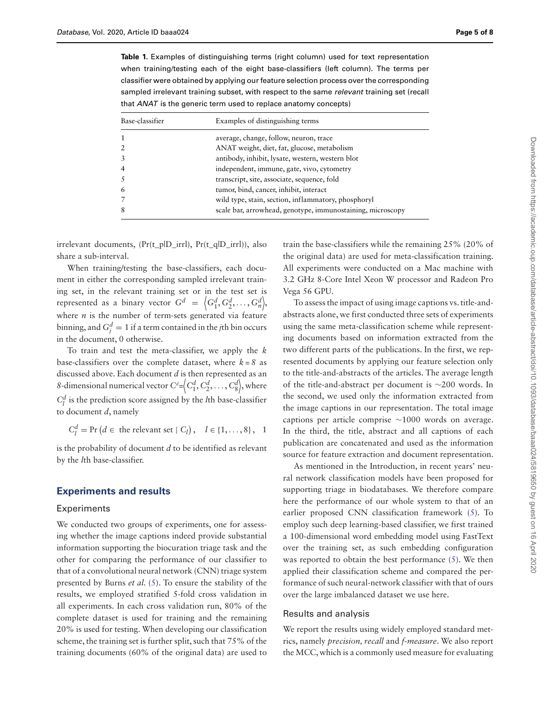<span id="page-6-0"></span>**Table 1.** Examples of distinguishing terms (right column) used for text representation when training/testing each of the eight base-classifiers (left column). The terms per classifier were obtained by applying our feature selection process over the corresponding sampled irrelevant training subset, with respect to the same relevant training set (recall that ANAT is the generic term used to replace anatomy concepts)

| Base-classifier | Examples of distinguishing terms                           |  |
|-----------------|------------------------------------------------------------|--|
|                 | average, change, follow, neuron, trace                     |  |
|                 | ANAT weight, diet, fat, glucose, metabolism                |  |
|                 | antibody, inhibit, lysate, western, western blot           |  |
|                 | independent, immune, gate, vivo, cytometry                 |  |
|                 | transcript, site, associate, sequence, fold                |  |
| 6               | tumor, bind, cancer, inhibit, interact                     |  |
|                 | wild type, stain, section, inflammatory, phosphoryl        |  |
| 8               | scale bar, arrowhead, genotype, immunostaining, microscopy |  |

irrelevant documents, (Pr(t\_p|D\_irrl), Pr(t\_q|D\_irrl)), also share a sub-interval.

When training/testing the base-classifiers, each document in either the corresponding sampled irrelevant training set, in the relevant training set or in the test set is represented as a binary vector  $G^d = \left\langle G_1^d, G_2^d, \ldots, G_n^d \right\rangle$ where  $n$  is the number of term-sets generated via feature binning, and  $G_j^d = 1$  if a term contained in the *j*th bin occurs in the document, 0 otherwise.

To train and test the meta-classifier, we apply the k base-classifiers over the complete dataset, where  $k=8$  as discussed above. Each document  $d$  is then represented as an 8-dimensional numerical vector  $C^d = \left(C_1^d, C_2^d, \ldots, C_8^d\right)$ , where  $C_l^d$  is the prediction score assigned by the *l*th base-classifier to document d, namely

$$
C_l^d = \Pr\left(d \in \text{ the relevant set} \mid C_l\right), \quad l \in \{1, \dots, 8\}, \quad 1
$$

is the probability of document  $d$  to be identified as relevant by the lth base-classifier.

#### **Experiments and results**

#### Experiments

We conducted two groups of experiments, one for assessing whether the image captions indeed provide substantial information supporting the biocuration triage task and the other for comparing the performance of our classifier to that of a convolutional neural network (CNN) triage system presented by Burns *et al.* [\(5\)](#page-9-2). To ensure the stability of the results, we employed stratified 5-fold cross validation in all experiments. In each cross validation run, 80% of the complete dataset is used for training and the remaining 20% is used for testing. When developing our classification scheme, the training set is further split, such that 75% of the training documents (60% of the original data) are used to train the base-classifiers while the remaining 25% (20% of the original data) are used for meta-classification training. All experiments were conducted on a Mac machine with 3.2 GHz 8-Core Intel Xeon W processor and Radeon Pro Vega 56 GPU.

To assess the impact of using image captions vs. title-andabstracts alone, we first conducted three sets of experiments using the same meta-classification scheme while representing documents based on information extracted from the two different parts of the publications. In the first, we represented documents by applying our feature selection only to the title-and-abstracts of the articles. The average length of the title-and-abstract per document is ∼200 words. In the second, we used only the information extracted from the image captions in our representation. The total image captions per article comprise ∼1000 words on average. In the third, the title, abstract and all captions of each publication are concatenated and used as the information source for feature extraction and document representation.

As mentioned in the Introduction, in recent years' neural network classification models have been proposed for supporting triage in biodatabases. We therefore compare here the performance of our whole system to that of an earlier proposed CNN classification framework [\(5\)](#page-9-2). To employ such deep learning-based classifier, we first trained a 100-dimensional word embedding model using FastText over the training set, as such embedding configuration was reported to obtain the best performance [\(5\)](#page-9-2). We then applied their classification scheme and compared the performance of such neural-network classifier with that of ours over the large imbalanced dataset we use here.

#### Results and analysis

We report the results using widely employed standard metrics, namely precision, recall and f-measure. We also report the MCC, which is a commonly used measure for evaluating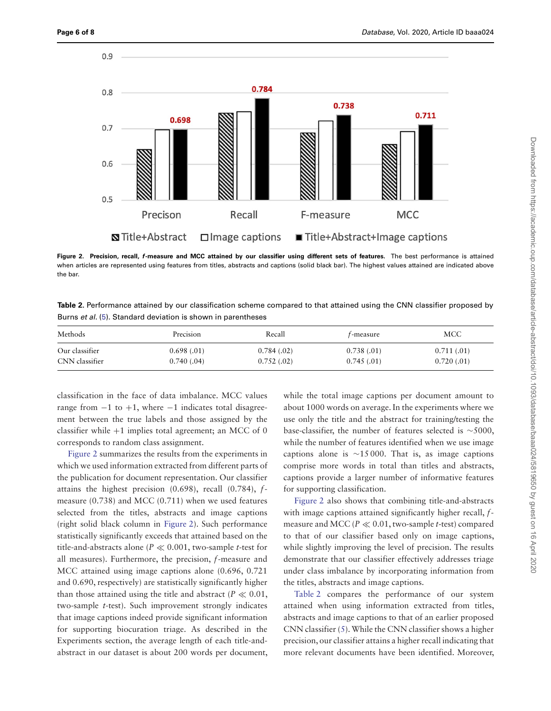

<span id="page-7-0"></span>**Figure 2. Precision, recall,** *f***-measure and MCC attained by our classifier using different sets of features.** The best performance is attained when articles are represented using features from titles, abstracts and captions (solid black bar). The highest values attained are indicated above the bar.

<span id="page-7-1"></span>**Table 2.** Performance attained by our classification scheme compared to that attained using the CNN classifier proposed by Burns et al. [\(5\)](#page-9-2). Standard deviation is shown in parentheses

| Methods        | Precision   | Recall      | f-measure   | MCC         |
|----------------|-------------|-------------|-------------|-------------|
| Our classifier | 0.698(.01)  | 0.784(0.02) | 0.738(0.01) | 0.711(.01)  |
| CNN classifier | 0.740(0.04) | 0.752(.02)  | 0.745(.01)  | 0.720(0.01) |

classification in the face of data imbalance. MCC values range from  $-1$  to  $+1$ , where  $-1$  indicates total disagreement between the true labels and those assigned by the classifier while  $+1$  implies total agreement; an MCC of 0 corresponds to random class assignment.

[Figure 2](#page-7-0) summarizes the results from the experiments in which we used information extracted from different parts of the publication for document representation. Our classifier attains the highest precision  $(0.698)$ , recall  $(0.784)$ ,  $f$ measure (0.738) and MCC (0.711) when we used features selected from the titles, abstracts and image captions (right solid black column in [Figure 2\)](#page-7-0). Such performance statistically significantly exceeds that attained based on the title-and-abstracts alone ( $P \ll 0.001$ , two-sample t-test for all measures). Furthermore, the precision, f-measure and MCC attained using image captions alone (0.696, 0.721 and 0.690, respectively) are statistically significantly higher than those attained using the title and abstract ( $P \ll 0.01$ , two-sample t-test). Such improvement strongly indicates that image captions indeed provide significant information for supporting biocuration triage. As described in the Experiments section, the average length of each title-andabstract in our dataset is about 200 words per document, while the total image captions per document amount to about 1000 words on average. In the experiments where we use only the title and the abstract for training/testing the base-classifier, the number of features selected is ∼5000, while the number of features identified when we use image captions alone is ∼15 000. That is, as image captions comprise more words in total than titles and abstracts, captions provide a larger number of informative features for supporting classification.

[Figure 2](#page-7-0) also shows that combining title-and-abstracts with image captions attained significantly higher recall, fmeasure and MCC ( $P \ll 0.01$ , two-sample *t*-test) compared to that of our classifier based only on image captions, while slightly improving the level of precision. The results demonstrate that our classifier effectively addresses triage under class imbalance by incorporating information from the titles, abstracts and image captions.

[Table 2](#page-7-1) compares the performance of our system attained when using information extracted from titles, abstracts and image captions to that of an earlier proposed CNN classifier [\(5\)](#page-9-2).While the CNN classifier shows a higher precision, our classifier attains a higher recall indicating that more relevant documents have been identified. Moreover,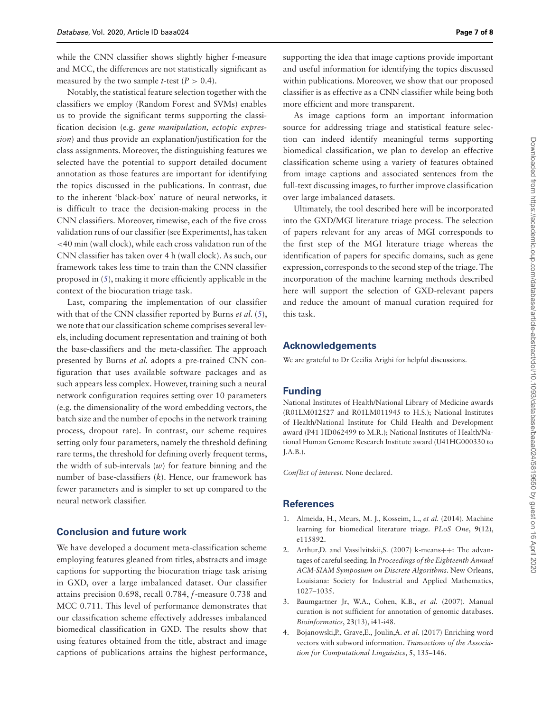while the CNN classifier shows slightly higher f-measure and MCC, the differences are not statistically significant as measured by the two sample *t*-test  $(P > 0.4)$ .

Notably, the statistical feature selection together with the classifiers we employ (Random Forest and SVMs) enables us to provide the significant terms supporting the classification decision (e.g. gene manipulation, ectopic expression) and thus provide an explanation/justification for the class assignments. Moreover, the distinguishing features we selected have the potential to support detailed document annotation as those features are important for identifying the topics discussed in the publications. In contrast, due to the inherent 'black-box' nature of neural networks, it is difficult to trace the decision-making process in the CNN classifiers. Moreover, timewise, each of the five cross validation runs of our classifier (see Experiments), has taken *<*40 min (wall clock), while each cross validation run of the CNN classifier has taken over 4 h (wall clock). As such, our framework takes less time to train than the CNN classifier proposed in [\(5\)](#page-9-2), making it more efficiently applicable in the context of the biocuration triage task.

Last, comparing the implementation of our classifier with that of the CNN classifier reported by Burns  $et al. (5)$  $et al. (5)$ , we note that our classification scheme comprises several levels, including document representation and training of both the base-classifiers and the meta-classifier. The approach presented by Burns et al. adopts a pre-trained CNN configuration that uses available software packages and as such appears less complex. However, training such a neural network configuration requires setting over 10 parameters (e.g. the dimensionality of the word embedding vectors, the batch size and the number of epochs in the network training process, dropout rate). In contrast, our scheme requires setting only four parameters, namely the threshold defining rare terms, the threshold for defining overly frequent terms, the width of sub-intervals  $(w)$  for feature binning and the number of base-classifiers  $(k)$ . Hence, our framework has fewer parameters and is simpler to set up compared to the neural network classifier.

#### **Conclusion and future work**

We have developed a document meta-classification scheme employing features gleaned from titles, abstracts and image captions for supporting the biocuration triage task arising in GXD, over a large imbalanced dataset. Our classifier attains precision 0.698, recall 0.784, f-measure 0.738 and MCC 0.711. This level of performance demonstrates that our classification scheme effectively addresses imbalanced biomedical classification in GXD. The results show that using features obtained from the title, abstract and image captions of publications attains the highest performance, supporting the idea that image captions provide important and useful information for identifying the topics discussed within publications. Moreover, we show that our proposed classifier is as effective as a CNN classifier while being both more efficient and more transparent.

As image captions form an important information source for addressing triage and statistical feature selection can indeed identify meaningful terms supporting biomedical classification, we plan to develop an effective classification scheme using a variety of features obtained from image captions and associated sentences from the full-text discussing images, to further improve classification over large imbalanced datasets.

Ultimately, the tool described here will be incorporated into the GXD/MGI literature triage process. The selection of papers relevant for any areas of MGI corresponds to the first step of the MGI literature triage whereas the identification of papers for specific domains, such as gene expression, corresponds to the second step of the triage. The incorporation of the machine learning methods described here will support the selection of GXD-relevant papers and reduce the amount of manual curation required for this task.

#### **Acknowledgements**

We are grateful to Dr Cecilia Arighi for helpful discussions.

#### **Funding**

National Institutes of Health/National Library of Medicine awards (R01LM012527 and R01LM011945 to H.S.); National Institutes of Health/National Institute for Child Health and Development award (P41 HD062499 to M.R.); National Institutes of Health/National Human Genome Research Institute award (U41HG000330 to J.A.B.).

Conflict of interest. None declared.

#### **References**

- <span id="page-8-1"></span>1. Almeida, H., Meurs, M. J., Kosseim, L., et al. (2014). Machine learning for biomedical literature triage. PLoS One, **9**(12), e115892.
- <span id="page-8-3"></span>2. Arthur,D. and Vassilvitskii,S. (2007) k-means++: The advantages of careful seeding. In Proceedings of the Eighteenth Annual ACM-SIAM Symposium on Discrete Algorithms. New Orleans, Louisiana: Society for Industrial and Applied Mathematics, 1027–1035.
- <span id="page-8-0"></span>3. Baumgartner Jr, W.A., Cohen, K.B., et al. (2007). Manual curation is not sufficient for annotation of genomic databases. Bioinformatics, **23**(13), i41-i48.
- <span id="page-8-2"></span>4. Bojanowski,P., Grave,E., Joulin,A. et al. (2017) Enriching word vectors with subword information. Transactions of the Association for Computational Linguistics, **5**, 135–146.